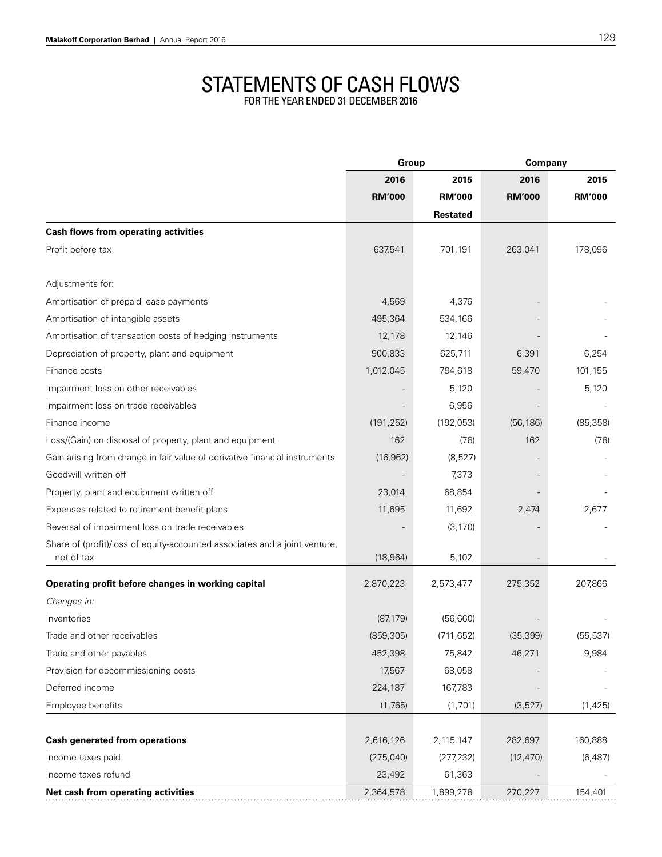## STATEMENTS OF CASH FLOW

for the year ended 31 December 2016

|                                                                            | Group         |                 | Company       |               |
|----------------------------------------------------------------------------|---------------|-----------------|---------------|---------------|
|                                                                            | 2016          | 2015            | 2016          | 2015          |
|                                                                            | <b>RM'000</b> | <b>RM'000</b>   | <b>RM'000</b> | <b>RM'000</b> |
|                                                                            |               | <b>Restated</b> |               |               |
| <b>Cash flows from operating activities</b>                                |               |                 |               |               |
| Profit before tax                                                          | 637,541       | 701,191         | 263,041       | 178,096       |
| Adjustments for:                                                           |               |                 |               |               |
| Amortisation of prepaid lease payments                                     | 4,569         | 4,376           |               |               |
| Amortisation of intangible assets                                          | 495,364       | 534,166         |               |               |
| Amortisation of transaction costs of hedging instruments                   | 12,178        | 12,146          |               |               |
| Depreciation of property, plant and equipment                              | 900,833       | 625,711         | 6,391         | 6,254         |
| Finance costs                                                              | 1,012,045     | 794,618         | 59,470        | 101,155       |
| Impairment loss on other receivables                                       |               | 5,120           |               | 5,120         |
| Impairment loss on trade receivables                                       |               | 6,956           |               |               |
| Finance income                                                             | (191, 252)    | (192, 053)      | (56, 186)     | (85, 358)     |
| Loss/(Gain) on disposal of property, plant and equipment                   | 162           | (78)            | 162           | (78)          |
| Gain arising from change in fair value of derivative financial instruments | (16, 962)     | (8,527)         |               |               |
| Goodwill written off                                                       |               | 7,373           |               |               |
| Property, plant and equipment written off                                  | 23,014        | 68,854          |               |               |
| Expenses related to retirement benefit plans                               | 11,695        | 11,692          | 2,474         | 2,677         |
| Reversal of impairment loss on trade receivables                           |               | (3, 170)        |               |               |
| Share of (profit)/loss of equity-accounted associates and a joint venture, |               |                 |               |               |
| net of tax                                                                 | (18, 964)     | 5,102           |               |               |
| Operating profit before changes in working capital                         | 2,870,223     | 2,573,477       | 275,352       | 207,866       |
| Changes in:                                                                |               |                 |               |               |
| Inventories                                                                | (87, 179)     | (56, 660)       |               |               |
| Trade and other receivables                                                | (859, 305)    | (711, 652)      | (35, 399)     | (55, 537)     |
| Trade and other payables                                                   | 452,398       | 75,842          | 46,271        | 9,984         |
| Provision for decommissioning costs                                        | 17,567        | 68,058          |               |               |
| Deferred income                                                            | 224,187       | 167,783         |               |               |
| Employee benefits                                                          | (1,765)       | (1,701)         | (3,527)       | (1, 425)      |
| <b>Cash generated from operations</b>                                      | 2,616,126     | 2,115,147       | 282,697       | 160,888       |
| Income taxes paid                                                          | (275, 040)    | (277, 232)      | (12, 470)     | (6, 487)      |
| Income taxes refund                                                        | 23,492        | 61,363          |               |               |
| Net cash from operating activities                                         | 2,364,578     | 1,899,278       | 270,227       | 154,401       |